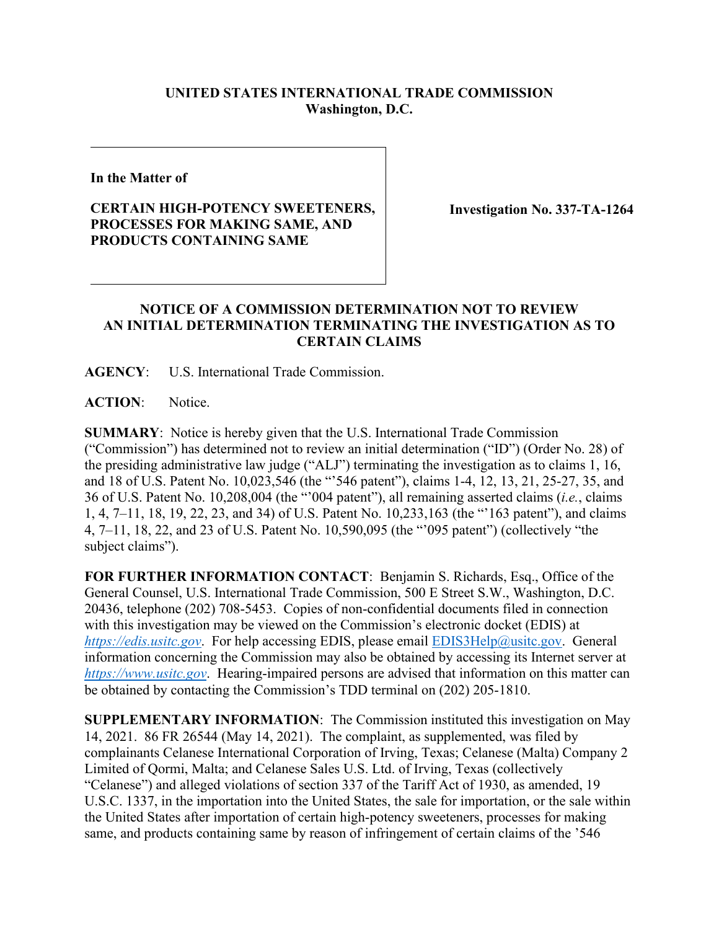## **UNITED STATES INTERNATIONAL TRADE COMMISSION Washington, D.C.**

**In the Matter of**

## **CERTAIN HIGH-POTENCY SWEETENERS, PROCESSES FOR MAKING SAME, AND PRODUCTS CONTAINING SAME**

**Investigation No. 337-TA-1264**

## **NOTICE OF A COMMISSION DETERMINATION NOT TO REVIEW AN INITIAL DETERMINATION TERMINATING THE INVESTIGATION AS TO CERTAIN CLAIMS**

**AGENCY**: U.S. International Trade Commission.

**ACTION**: Notice.

**SUMMARY**: Notice is hereby given that the U.S. International Trade Commission ("Commission") has determined not to review an initial determination ("ID") (Order No. 28) of the presiding administrative law judge ("ALJ") terminating the investigation as to claims 1, 16, and 18 of U.S. Patent No. 10,023,546 (the "'546 patent"), claims 1-4, 12, 13, 21, 25-27, 35, and 36 of U.S. Patent No. 10,208,004 (the "'004 patent"), all remaining asserted claims (*i.e.*, claims 1, 4, 7–11, 18, 19, 22, 23, and 34) of U.S. Patent No. 10,233,163 (the "'163 patent"), and claims 4, 7–11, 18, 22, and 23 of U.S. Patent No. 10,590,095 (the "'095 patent") (collectively "the subject claims").

**FOR FURTHER INFORMATION CONTACT**: Benjamin S. Richards, Esq., Office of the General Counsel, U.S. International Trade Commission, 500 E Street S.W., Washington, D.C. 20436, telephone (202) 708-5453. Copies of non-confidential documents filed in connection with this investigation may be viewed on the Commission's electronic docket (EDIS) at *[https://edis.usitc.gov](https://edis.usitc.gov/)*. For help accessing EDIS, please email [EDIS3Help@usitc.gov.](mailto:EDIS3Help@usitc.gov) General information concerning the Commission may also be obtained by accessing its Internet server at *[https://www.usitc.gov](https://www.usitc.gov/)*. Hearing-impaired persons are advised that information on this matter can be obtained by contacting the Commission's TDD terminal on (202) 205-1810.

**SUPPLEMENTARY INFORMATION**: The Commission instituted this investigation on May 14, 2021. 86 FR 26544 (May 14, 2021). The complaint, as supplemented, was filed by complainants Celanese International Corporation of Irving, Texas; Celanese (Malta) Company 2 Limited of Qormi, Malta; and Celanese Sales U.S. Ltd. of Irving, Texas (collectively "Celanese") and alleged violations of section 337 of the Tariff Act of 1930, as amended, 19 U.S.C. 1337, in the importation into the United States, the sale for importation, or the sale within the United States after importation of certain high-potency sweeteners, processes for making same, and products containing same by reason of infringement of certain claims of the '546